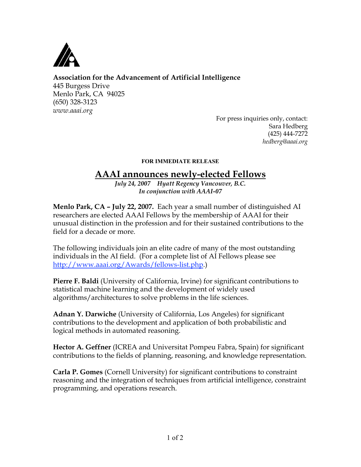

## **Association for the Advancement of Artificial Intelligence**

445 Burgess Drive Menlo Park, CA 94025 (650) 328-3123 *www.aaai.org*

For press inquiries only, contact: Sara Hedberg (425) 444-7272 *hedberg@aaai.org*

## FOR IMMEDIATE RELEASE

## **AAAI announces newly-elected Fellows**

*July 24, 2007 Hyatt Regency Vancouver, B.C. In conjunction with AAAI-07*

**Menlo Park, CA – July 22, 2007.** Each year a small number of distinguished AI researchers are elected AAAI Fellows by the membership of AAAI for their unusual distinction in the profession and for their sustained contributions to the field for a decade or more.

The following individuals join an elite cadre of many of the most outstanding individuals in the AI field. (For a complete list of AI Fellows please see http://www.aaai.org/Awards/fellows-list.php.)

**Pierre F. Baldi** (University of California, Irvine) for significant contributions to statistical machine learning and the development of widely used algorithms/architectures to solve problems in the life sciences.

**Adnan Y. Darwiche** (University of California, Los Angeles) for significant contributions to the development and application of both probabilistic and logical methods in automated reasoning.

**Hector A. Geffner** (ICREA and Universitat Pompeu Fabra, Spain) for significant contributions to the fields of planning, reasoning, and knowledge representation.

**Carla P. Gomes** (Cornell University) for significant contributions to constraint reasoning and the integration of techniques from artificial intelligence, constraint programming, and operations research.